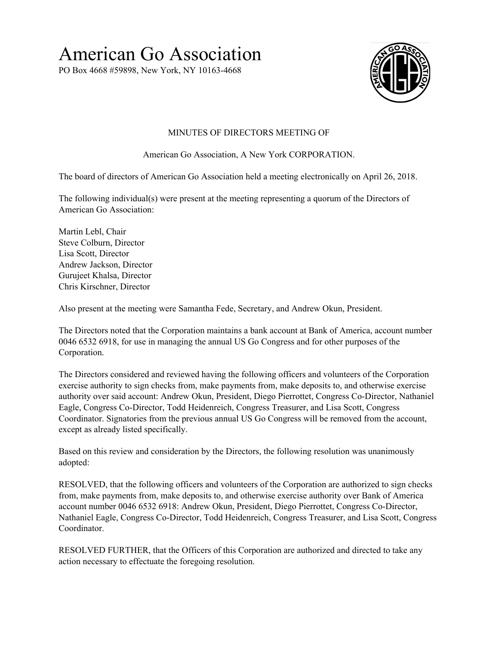## American Go Association

PO Box 4668 #59898, New York, NY 10163-4668



## MINUTES OF DIRECTORS MEETING OF

American Go Association, A New York CORPORATION.

The board of directors of American Go Association held a meeting electronically on April 26, 2018.

The following individual(s) were present at the meeting representing a quorum of the Directors of American Go Association:

Martin Lebl, Chair Steve Colburn, Director Lisa Scott, Director Andrew Jackson, Director Gurujeet Khalsa, Director Chris Kirschner, Director

Also present at the meeting were Samantha Fede, Secretary, and Andrew Okun, President.

The Directors noted that the Corporation maintains a bank account at Bank of America, account number 0046 6532 6918, for use in managing the annual US Go Congress and for other purposes of the Corporation.

The Directors considered and reviewed having the following officers and volunteers of the Corporation exercise authority to sign checks from, make payments from, make deposits to, and otherwise exercise authority over said account: Andrew Okun, President, Diego Pierrottet, Congress Co-Director, Nathaniel Eagle, Congress Co-Director, Todd Heidenreich, Congress Treasurer, and Lisa Scott, Congress Coordinator. Signatories from the previous annual US Go Congress will be removed from the account, except as already listed specifically.

Based on this review and consideration by the Directors, the following resolution was unanimously adopted:

RESOLVED, that the following officers and volunteers of the Corporation are authorized to sign checks from, make payments from, make deposits to, and otherwise exercise authority over Bank of America account number 0046 6532 6918: Andrew Okun, President, Diego Pierrottet, Congress Co-Director, Nathaniel Eagle, Congress Co-Director, Todd Heidenreich, Congress Treasurer, and Lisa Scott, Congress Coordinator.

RESOLVED FURTHER, that the Officers of this Corporation are authorized and directed to take any action necessary to effectuate the foregoing resolution.